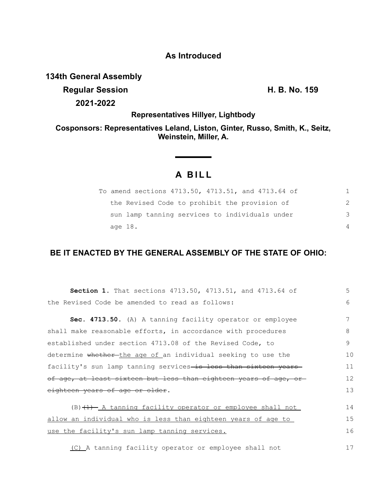## **As Introduced**

## **134th General Assembly**

**Regular Session H. B. No. 159 2021-2022**

17

**Representatives Hillyer, Lightbody**

**Cosponsors: Representatives Leland, Liston, Ginter, Russo, Smith, K., Seitz, Weinstein, Miller, A.**

# **A B I L L**

|         | To amend sections 4713.50, 4713.51, and 4713.64 of |               |
|---------|----------------------------------------------------|---------------|
|         | the Revised Code to prohibit the provision of      | $\mathcal{P}$ |
|         | sun lamp tanning services to individuals under     | 3             |
| age 18. |                                                    | $\Delta$      |

## **BE IT ENACTED BY THE GENERAL ASSEMBLY OF THE STATE OF OHIO:**

| Section 1. That sections 4713.50, 4713.51, and 4713.64 of                  | 5  |  |
|----------------------------------------------------------------------------|----|--|
| the Revised Code be amended to read as follows:                            | 6  |  |
| Sec. 4713.50. (A) A tanning facility operator or employee                  | 7  |  |
| shall make reasonable efforts, in accordance with procedures               |    |  |
| established under section 4713.08 of the Revised Code, to                  |    |  |
| determine whether-the age of an individual seeking to use the              |    |  |
| facility's sun lamp tanning services-is less than sixteen years            |    |  |
| of age, at least sixteen but less than eighteen years of age, or           |    |  |
| eighteen years of age or older.                                            |    |  |
| $(B)$ $(1)$ $\overline{A}$ tanning facility operator or employee shall not | 14 |  |
| allow an individual who is less than eighteen years of age to              |    |  |
| use the facility's sun lamp tanning services.                              | 16 |  |

(C) A tanning facility operator or employee shall not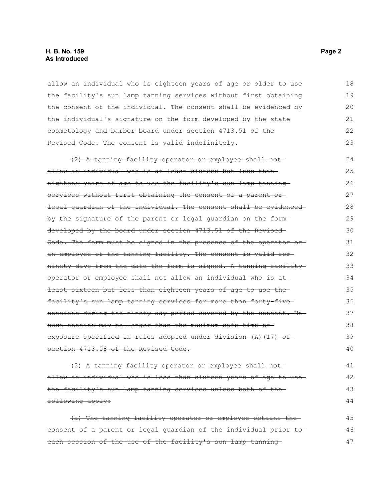#### **H. B. No. 159 Page 2 As Introduced**

allow an individual who is eighteen years of age or older to use the facility's sun lamp tanning services without first obtaining the consent of the individual. The consent shall be evidenced by the individual's signature on the form developed by the state cosmetology and barber board under section 4713.51 of the Revised Code. The consent is valid indefinitely. 18 19 20 21 22 23

(2) A tanning facility operator or employee shall not allow an individual who is at least sixteen but less than eighteen years of age to use the facility's sun lamp tanning services without first obtaining the consent of a parent orlegal guardian of the individual. The consent shall be evidenced by the signature of the parent or legal guardian on the form developed by the board under section 4713.51 of the Revised Code. The form must be signed in the presence of the operator or an employee of the tanning facility. The consent is valid for ninety days from the date the form is signed. A tanning facility operator or employee shall not allow an individual who is at least sixteen but less than eighteen years of age to use the facility's sun lamp tanning services for more than forty-five sessions during the ninety-day period covered by the consent. No such session may be longer than the maximum safe time of exposure specified in rules adopted under division (A)(17) of section 4713.08 of the Revised Code.  $24$ 25 26 27 28 29 30 31 32 33 34 35 36 37 38 39 40

(3) A tanning facility operator or employee shall not allow an individual who is less than sixteen years of age to use the facility's sun lamp tanning services unless both of the following apply: 41 42 43 44

(a) The tanning facility operator or employee obtains the consent of a parent or legal guardian of the individual prior to each session of the use of the facility's sun lamp tanning-45 46 47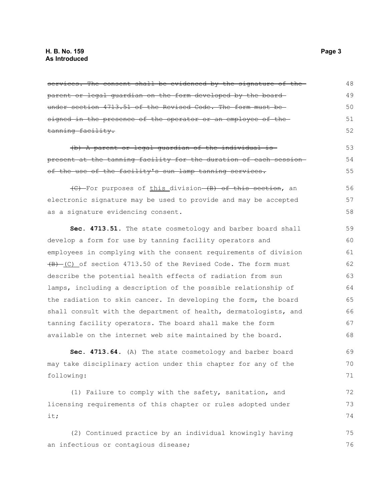services. The consent shall be evidenced by the signature of the parent or legal guardian on the form developed by the board under section 4713.51 of the Revised Code. The form must be signed in the presence of the operator or an employee of the tanning facility. (b) A parent or legal guardian of the individual is present at the tanning facility for the duration of each session of the use of the facility's sun lamp tanning services. (C) For purposes of this division (B) of this section, an electronic signature may be used to provide and may be accepted as a signature evidencing consent. **Sec. 4713.51.** The state cosmetology and barber board shall develop a form for use by tanning facility operators and employees in complying with the consent requirements of division  $\overline{(B)}$  (C) of section 4713.50 of the Revised Code. The form must describe the potential health effects of radiation from sun lamps, including a description of the possible relationship of the radiation to skin cancer. In developing the form, the board shall consult with the department of health, dermatologists, and tanning facility operators. The board shall make the form available on the internet web site maintained by the board. **Sec. 4713.64.** (A) The state cosmetology and barber board may take disciplinary action under this chapter for any of the following: (1) Failure to comply with the safety, sanitation, and licensing requirements of this chapter or rules adopted under it; (2) Continued practice by an individual knowingly having an infectious or contagious disease; 48 49 50 51 52 53 54 55 56 57 58 59 60 61 62 63 64 65 66 67 68 69 70 71 72 73 74 75 76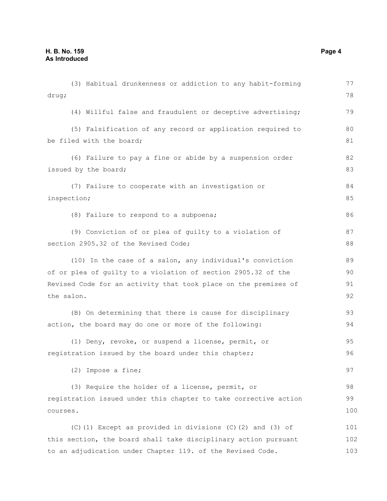| (3) Habitual drunkenness or addiction to any habit-forming       | 77  |
|------------------------------------------------------------------|-----|
| drug;                                                            | 78  |
| (4) Willful false and fraudulent or deceptive advertising;       | 79  |
| (5) Falsification of any record or application required to       | 80  |
| be filed with the board;                                         | 81  |
| (6) Failure to pay a fine or abide by a suspension order         | 82  |
| issued by the board;                                             | 83  |
| (7) Failure to cooperate with an investigation or                | 84  |
| inspection;                                                      | 85  |
| (8) Failure to respond to a subpoena;                            | 86  |
| (9) Conviction of or plea of guilty to a violation of            | 87  |
| section 2905.32 of the Revised Code;                             | 88  |
| (10) In the case of a salon, any individual's conviction         | 89  |
| of or plea of guilty to a violation of section 2905.32 of the    | 90  |
| Revised Code for an activity that took place on the premises of  | 91  |
| the salon.                                                       | 92  |
| (B) On determining that there is cause for disciplinary          | 93  |
| action, the board may do one or more of the following:           | 94  |
| (1) Deny, revoke, or suspend a license, permit, or               | 95  |
| registration issued by the board under this chapter;             | 96  |
| (2) Impose a fine;                                               | 97  |
| (3) Require the holder of a license, permit, or                  | 98  |
| registration issued under this chapter to take corrective action | 99  |
| courses.                                                         | 100 |
| $(C)$ (1) Except as provided in divisions $(C)$ (2) and (3) of   | 101 |
| this section, the board shall take disciplinary action pursuant  | 102 |
| to an adjudication under Chapter 119. of the Revised Code.       | 103 |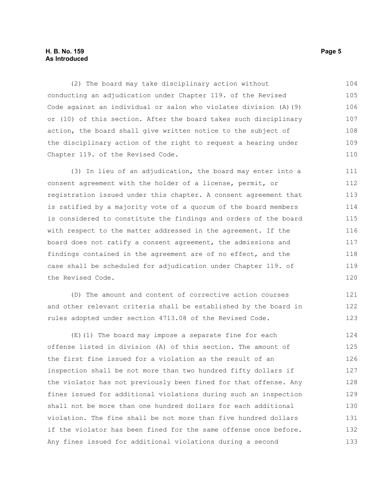#### **H. B. No. 159 Page 5 As Introduced**

(2) The board may take disciplinary action without conducting an adjudication under Chapter 119. of the Revised Code against an individual or salon who violates division (A)(9) or (10) of this section. After the board takes such disciplinary action, the board shall give written notice to the subject of the disciplinary action of the right to request a hearing under Chapter 119. of the Revised Code. 104 105 106 107 108 109 110

(3) In lieu of an adjudication, the board may enter into a consent agreement with the holder of a license, permit, or registration issued under this chapter. A consent agreement that is ratified by a majority vote of a quorum of the board members is considered to constitute the findings and orders of the board with respect to the matter addressed in the agreement. If the board does not ratify a consent agreement, the admissions and findings contained in the agreement are of no effect, and the case shall be scheduled for adjudication under Chapter 119. of the Revised Code. 111 112 113 114 115 116 117 118 119 120

(D) The amount and content of corrective action courses and other relevant criteria shall be established by the board in rules adopted under section 4713.08 of the Revised Code. 121 122 123

(E)(1) The board may impose a separate fine for each offense listed in division (A) of this section. The amount of the first fine issued for a violation as the result of an inspection shall be not more than two hundred fifty dollars if the violator has not previously been fined for that offense. Any fines issued for additional violations during such an inspection shall not be more than one hundred dollars for each additional violation. The fine shall be not more than five hundred dollars if the violator has been fined for the same offense once before. Any fines issued for additional violations during a second 124 125 126 127 128 129 130 131 132 133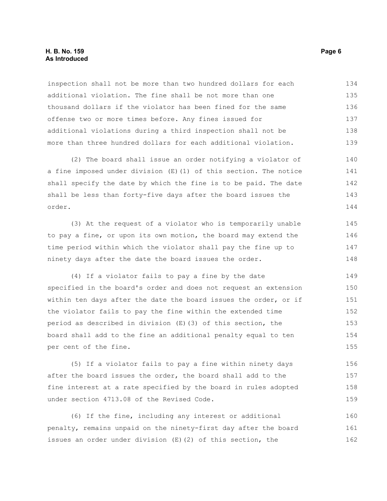#### **H. B. No. 159 Page 6 As Introduced**

inspection shall not be more than two hundred dollars for each additional violation. The fine shall be not more than one thousand dollars if the violator has been fined for the same offense two or more times before. Any fines issued for additional violations during a third inspection shall not be more than three hundred dollars for each additional violation. 134 135 136 137 138 139

(2) The board shall issue an order notifying a violator of a fine imposed under division (E)(1) of this section. The notice shall specify the date by which the fine is to be paid. The date shall be less than forty-five days after the board issues the order. 140 141 142 143 144

(3) At the request of a violator who is temporarily unable to pay a fine, or upon its own motion, the board may extend the time period within which the violator shall pay the fine up to ninety days after the date the board issues the order.

(4) If a violator fails to pay a fine by the date specified in the board's order and does not request an extension within ten days after the date the board issues the order, or if the violator fails to pay the fine within the extended time period as described in division (E)(3) of this section, the board shall add to the fine an additional penalty equal to ten per cent of the fine. 149 150 151 152 153 154 155

(5) If a violator fails to pay a fine within ninety days after the board issues the order, the board shall add to the fine interest at a rate specified by the board in rules adopted under section 4713.08 of the Revised Code. 156 157 158 159

(6) If the fine, including any interest or additional penalty, remains unpaid on the ninety-first day after the board issues an order under division (E)(2) of this section, the 160 161 162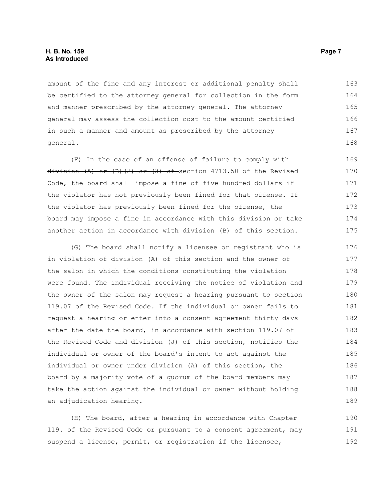amount of the fine and any interest or additional penalty shall be certified to the attorney general for collection in the form and manner prescribed by the attorney general. The attorney general may assess the collection cost to the amount certified in such a manner and amount as prescribed by the attorney general. 163 164 165 166 167 168

(F) In the case of an offense of failure to comply with division  $(A)$  or  $(B)$   $(2)$  or  $(3)$  of section 4713.50 of the Revised Code, the board shall impose a fine of five hundred dollars if the violator has not previously been fined for that offense. If the violator has previously been fined for the offense, the board may impose a fine in accordance with this division or take another action in accordance with division (B) of this section. 169 170 171 172 173 174 175

(G) The board shall notify a licensee or registrant who is in violation of division (A) of this section and the owner of the salon in which the conditions constituting the violation were found. The individual receiving the notice of violation and the owner of the salon may request a hearing pursuant to section 119.07 of the Revised Code. If the individual or owner fails to request a hearing or enter into a consent agreement thirty days after the date the board, in accordance with section 119.07 of the Revised Code and division (J) of this section, notifies the individual or owner of the board's intent to act against the individual or owner under division (A) of this section, the board by a majority vote of a quorum of the board members may take the action against the individual or owner without holding an adjudication hearing. 176 177 178 179 180 181 182 183 184 185 186 187 188 189

(H) The board, after a hearing in accordance with Chapter 119. of the Revised Code or pursuant to a consent agreement, may suspend a license, permit, or registration if the licensee, 190 191 192